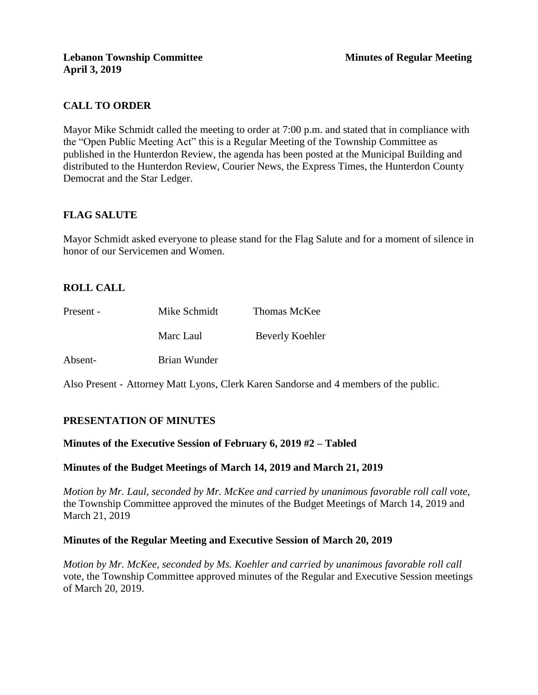# **CALL TO ORDER**

Mayor Mike Schmidt called the meeting to order at 7:00 p.m. and stated that in compliance with the "Open Public Meeting Act" this is a Regular Meeting of the Township Committee as published in the Hunterdon Review, the agenda has been posted at the Municipal Building and distributed to the Hunterdon Review, Courier News, the Express Times, the Hunterdon County Democrat and the Star Ledger.

# **FLAG SALUTE**

Mayor Schmidt asked everyone to please stand for the Flag Salute and for a moment of silence in honor of our Servicemen and Women.

# **ROLL CALL**

| Present - | Mike Schmidt | Thomas McKee    |
|-----------|--------------|-----------------|
|           | Marc Laul    | Beverly Koehler |
| Absent-   | Brian Wunder |                 |

Also Present - Attorney Matt Lyons, Clerk Karen Sandorse and 4 members of the public.

# **PRESENTATION OF MINUTES**

## **Minutes of the Executive Session of February 6, 2019 #2 – Tabled**

## **Minutes of the Budget Meetings of March 14, 2019 and March 21, 2019**

*Motion by Mr. Laul, seconded by Mr. McKee and carried by unanimous favorable roll call vote,* the Township Committee approved the minutes of the Budget Meetings of March 14, 2019 and March 21, 2019

## **Minutes of the Regular Meeting and Executive Session of March 20, 2019**

*Motion by Mr. McKee, seconded by Ms. Koehler and carried by unanimous favorable roll call*  vote, the Township Committee approved minutes of the Regular and Executive Session meetings of March 20, 2019.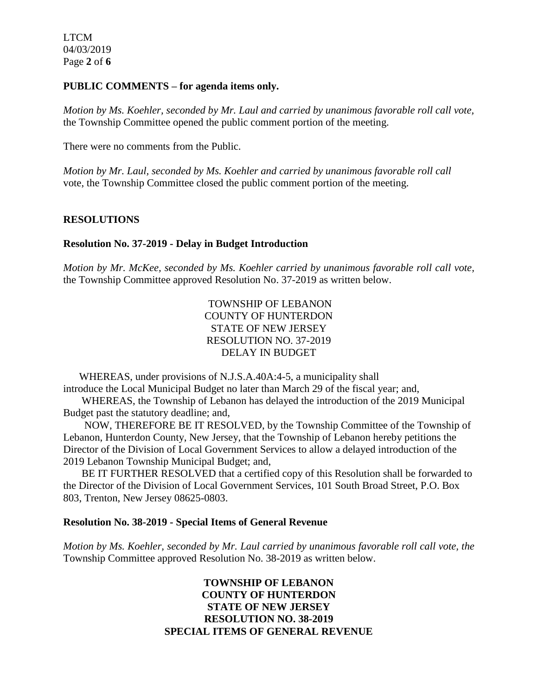LTCM 04/03/2019 Page **2** of **6**

#### **PUBLIC COMMENTS – for agenda items only.**

*Motion by Ms. Koehler, seconded by Mr. Laul and carried by unanimous favorable roll call vote,* the Township Committee opened the public comment portion of the meeting.

There were no comments from the Public.

*Motion by Mr. Laul, seconded by Ms. Koehler and carried by unanimous favorable roll call*  vote, the Township Committee closed the public comment portion of the meeting.

# **RESOLUTIONS**

## **Resolution No. 37-2019 - Delay in Budget Introduction**

*Motion by Mr. McKee, seconded by Ms. Koehler carried by unanimous favorable roll call vote,* the Township Committee approved Resolution No. 37-2019 as written below.

> TOWNSHIP OF LEBANON COUNTY OF HUNTERDON STATE OF NEW JERSEY RESOLUTION NO. 37-2019 DELAY IN BUDGET

 WHEREAS, under provisions of N.J.S.A.40A:4-5, a municipality shall introduce the Local Municipal Budget no later than March 29 of the fiscal year; and,

 WHEREAS, the Township of Lebanon has delayed the introduction of the 2019 Municipal Budget past the statutory deadline; and,

 NOW, THEREFORE BE IT RESOLVED, by the Township Committee of the Township of Lebanon, Hunterdon County, New Jersey, that the Township of Lebanon hereby petitions the Director of the Division of Local Government Services to allow a delayed introduction of the 2019 Lebanon Township Municipal Budget; and,

 BE IT FURTHER RESOLVED that a certified copy of this Resolution shall be forwarded to the Director of the Division of Local Government Services, 101 South Broad Street, P.O. Box 803, Trenton, New Jersey 08625-0803.

#### **Resolution No. 38-2019 - Special Items of General Revenue**

*Motion by Ms. Koehler, seconded by Mr. Laul carried by unanimous favorable roll call vote, the* Township Committee approved Resolution No. 38-2019 as written below.

# **TOWNSHIP OF LEBANON COUNTY OF HUNTERDON STATE OF NEW JERSEY RESOLUTION NO. 38-2019 SPECIAL ITEMS OF GENERAL REVENUE**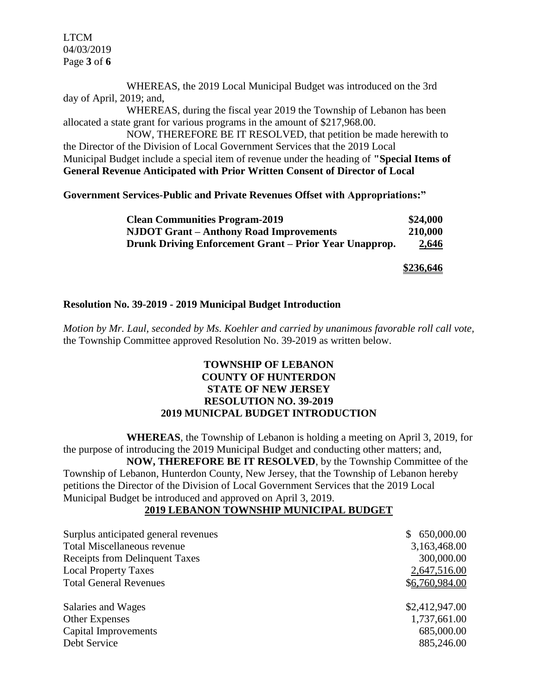LTCM 04/03/2019 Page **3** of **6**

WHEREAS, the 2019 Local Municipal Budget was introduced on the 3rd day of April, 2019; and,

WHEREAS, during the fiscal year 2019 the Township of Lebanon has been allocated a state grant for various programs in the amount of \$217,968.00.

NOW, THEREFORE BE IT RESOLVED, that petition be made herewith to the Director of the Division of Local Government Services that the 2019 Local Municipal Budget include a special item of revenue under the heading of **"Special Items of General Revenue Anticipated with Prior Written Consent of Director of Local** 

**Government Services-Public and Private Revenues Offset with Appropriations:"**

| <b>Clean Communities Program-2019</b>                  | \$24,000     |
|--------------------------------------------------------|--------------|
| <b>NJDOT Grant – Anthony Road Improvements</b>         | 210,000      |
| Drunk Driving Enforcement Grant – Prior Year Unapprop. | <u>2,646</u> |

**\$236,646**

## **Resolution No. 39-2019 - 2019 Municipal Budget Introduction**

*Motion by Mr. Laul, seconded by Ms. Koehler and carried by unanimous favorable roll call vote,* the Township Committee approved Resolution No. 39-2019 as written below.

## **TOWNSHIP OF LEBANON COUNTY OF HUNTERDON STATE OF NEW JERSEY RESOLUTION NO. 39-2019 2019 MUNICPAL BUDGET INTRODUCTION**

**WHEREAS**, the Township of Lebanon is holding a meeting on April 3, 2019, for the purpose of introducing the 2019 Municipal Budget and conducting other matters; and, **NOW, THEREFORE BE IT RESOLVED**, by the Township Committee of the Township of Lebanon, Hunterdon County, New Jersey, that the Township of Lebanon hereby petitions the Director of the Division of Local Government Services that the 2019 Local Municipal Budget be introduced and approved on April 3, 2019.

# **2019 LEBANON TOWNSHIP MUNICIPAL BUDGET**

| Surplus anticipated general revenues<br><b>Total Miscellaneous revenue</b> | 650,000.00<br>S.<br>3,163,468.00 |
|----------------------------------------------------------------------------|----------------------------------|
| <b>Receipts from Delinquent Taxes</b><br><b>Local Property Taxes</b>       | 300,000.00<br>2,647,516.00       |
| <b>Total General Revenues</b>                                              | \$6,760,984.00                   |
| Salaries and Wages                                                         | \$2,412,947.00                   |
| <b>Other Expenses</b>                                                      | 1,737,661.00                     |
| <b>Capital Improvements</b>                                                | 685,000.00                       |
| Debt Service                                                               | 885,246.00                       |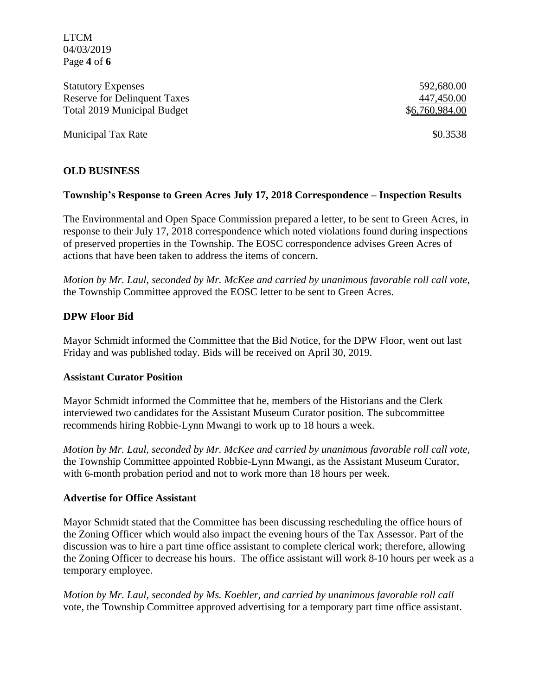LTCM 04/03/2019 Page **4** of **6**

Statutory Expenses 592,680.00 Reserve for Delinquent Taxes 447,450.00 Total 2019 Municipal Budget  $\$6,760,984.00$ 

Municipal Tax Rate  $\$0.3538$ 

# **OLD BUSINESS**

## **Township's Response to Green Acres July 17, 2018 Correspondence – Inspection Results**

The Environmental and Open Space Commission prepared a letter, to be sent to Green Acres, in response to their July 17, 2018 correspondence which noted violations found during inspections of preserved properties in the Township. The EOSC correspondence advises Green Acres of actions that have been taken to address the items of concern.

*Motion by Mr. Laul, seconded by Mr. McKee and carried by unanimous favorable roll call vote,* the Township Committee approved the EOSC letter to be sent to Green Acres.

#### **DPW Floor Bid**

Mayor Schmidt informed the Committee that the Bid Notice, for the DPW Floor, went out last Friday and was published today. Bids will be received on April 30, 2019.

#### **Assistant Curator Position**

Mayor Schmidt informed the Committee that he, members of the Historians and the Clerk interviewed two candidates for the Assistant Museum Curator position. The subcommittee recommends hiring Robbie-Lynn Mwangi to work up to 18 hours a week.

*Motion by Mr. Laul, seconded by Mr. McKee and carried by unanimous favorable roll call vote,* the Township Committee appointed Robbie-Lynn Mwangi, as the Assistant Museum Curator, with 6-month probation period and not to work more than 18 hours per week.

#### **Advertise for Office Assistant**

Mayor Schmidt stated that the Committee has been discussing rescheduling the office hours of the Zoning Officer which would also impact the evening hours of the Tax Assessor. Part of the discussion was to hire a part time office assistant to complete clerical work; therefore, allowing the Zoning Officer to decrease his hours. The office assistant will work 8-10 hours per week as a temporary employee.

*Motion by Mr. Laul, seconded by Ms. Koehler, and carried by unanimous favorable roll call*  vote, the Township Committee approved advertising for a temporary part time office assistant.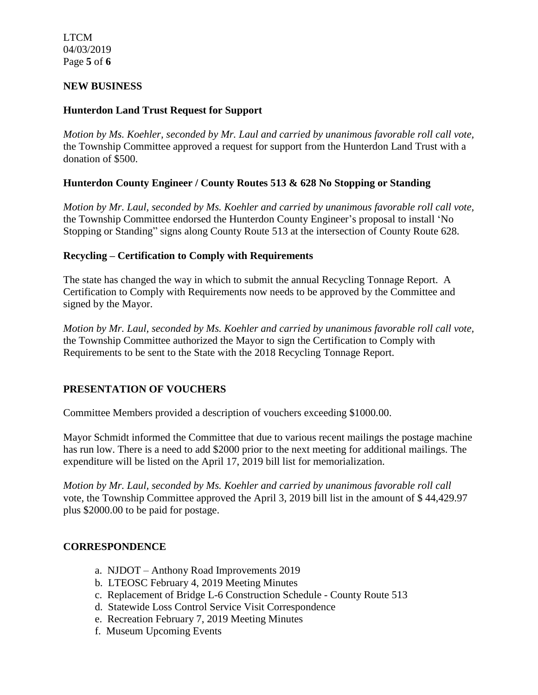LTCM 04/03/2019 Page **5** of **6**

## **NEW BUSINESS**

# **Hunterdon Land Trust Request for Support**

*Motion by Ms. Koehler, seconded by Mr. Laul and carried by unanimous favorable roll call vote,* the Township Committee approved a request for support from the Hunterdon Land Trust with a donation of \$500.

# **Hunterdon County Engineer / County Routes 513 & 628 No Stopping or Standing**

*Motion by Mr. Laul, seconded by Ms. Koehler and carried by unanimous favorable roll call vote,* the Township Committee endorsed the Hunterdon County Engineer's proposal to install 'No Stopping or Standing" signs along County Route 513 at the intersection of County Route 628.

# **Recycling – Certification to Comply with Requirements**

The state has changed the way in which to submit the annual Recycling Tonnage Report. A Certification to Comply with Requirements now needs to be approved by the Committee and signed by the Mayor.

*Motion by Mr. Laul, seconded by Ms. Koehler and carried by unanimous favorable roll call vote,* the Township Committee authorized the Mayor to sign the Certification to Comply with Requirements to be sent to the State with the 2018 Recycling Tonnage Report.

# **PRESENTATION OF VOUCHERS**

Committee Members provided a description of vouchers exceeding \$1000.00.

Mayor Schmidt informed the Committee that due to various recent mailings the postage machine has run low. There is a need to add \$2000 prior to the next meeting for additional mailings. The expenditure will be listed on the April 17, 2019 bill list for memorialization.

*Motion by Mr. Laul, seconded by Ms. Koehler and carried by unanimous favorable roll call*  vote, the Township Committee approved the April 3, 2019 bill list in the amount of \$ 44,429.97 plus \$2000.00 to be paid for postage.

## **CORRESPONDENCE**

- a. NJDOT Anthony Road Improvements 2019
- b. LTEOSC February 4, 2019 Meeting Minutes
- c. Replacement of Bridge L-6 Construction Schedule County Route 513
- d. Statewide Loss Control Service Visit Correspondence
- e. Recreation February 7, 2019 Meeting Minutes
- f. Museum Upcoming Events